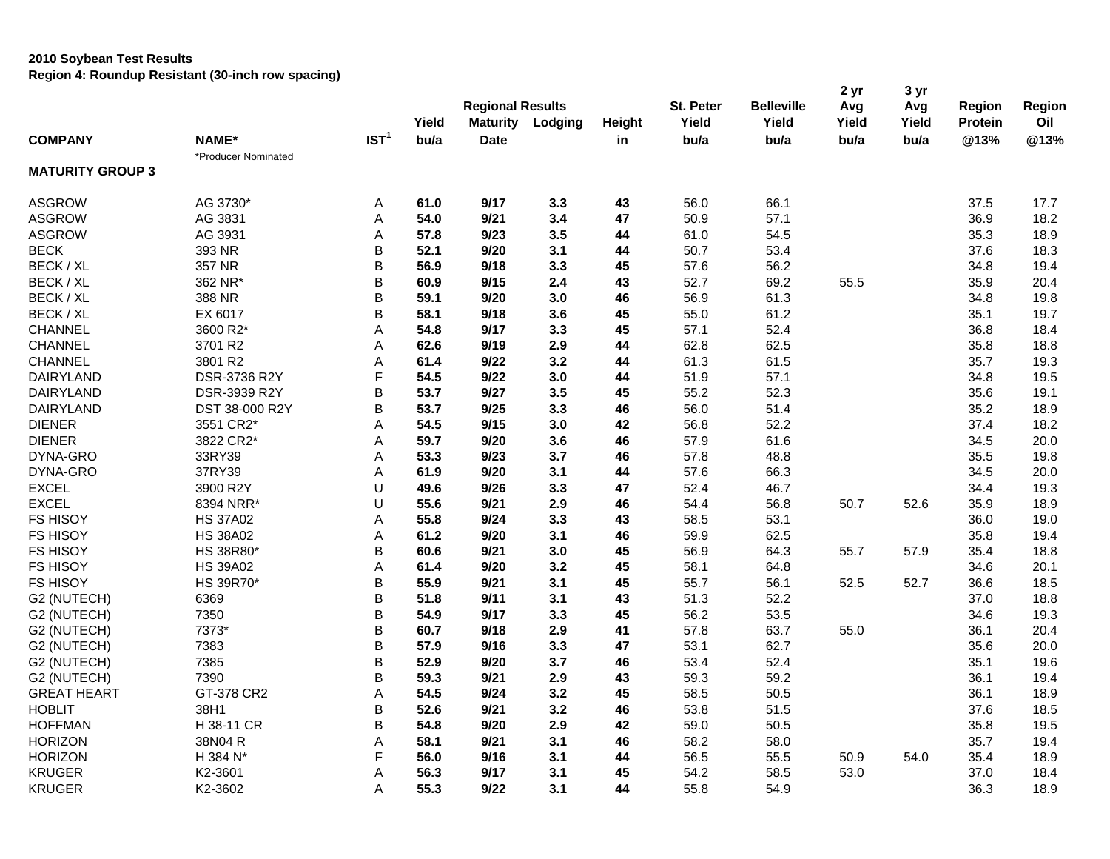|                         |                     |                  | Yield | <b>Regional Results</b><br><b>Maturity</b> |         | Height | St. Peter<br>Yield | <b>Belleville</b><br>Yield | 2 yr<br>Avg<br>Yield | 3 yr<br>Avg<br>Yield | Region<br><b>Protein</b> | Region<br>Oil |
|-------------------------|---------------------|------------------|-------|--------------------------------------------|---------|--------|--------------------|----------------------------|----------------------|----------------------|--------------------------|---------------|
|                         |                     | IST <sup>1</sup> | bu/a  |                                            | Lodging |        |                    |                            |                      |                      |                          |               |
| <b>COMPANY</b>          | NAME*               |                  |       | <b>Date</b>                                |         | in     | bu/a               | bu/a                       | bu/a                 | bu/a                 | @13%                     | @13%          |
| <b>MATURITY GROUP 3</b> | *Producer Nominated |                  |       |                                            |         |        |                    |                            |                      |                      |                          |               |
| <b>ASGROW</b>           | AG 3730*            | Α                | 61.0  | 9/17                                       | 3.3     | 43     | 56.0               | 66.1                       |                      |                      | 37.5                     | 17.7          |
| <b>ASGROW</b>           | AG 3831             | Α                | 54.0  | 9/21                                       | 3.4     | 47     | 50.9               | 57.1                       |                      |                      | 36.9                     | 18.2          |
| <b>ASGROW</b>           | AG 3931             | Α                | 57.8  | 9/23                                       | 3.5     | 44     | 61.0               | 54.5                       |                      |                      | 35.3                     | 18.9          |
| <b>BECK</b>             | 393 NR              | B                | 52.1  | 9/20                                       | 3.1     | 44     | 50.7               | 53.4                       |                      |                      | 37.6                     | 18.3          |
| BECK / XL               | 357 NR              | B                | 56.9  | 9/18                                       | 3.3     | 45     | 57.6               | 56.2                       |                      |                      | 34.8                     | 19.4          |
| BECK / XL               | 362 NR*             | B                | 60.9  | 9/15                                       | 2.4     | 43     | 52.7               | 69.2                       | 55.5                 |                      | 35.9                     | 20.4          |
| BECK / XL               | 388 NR              | B                | 59.1  | 9/20                                       | 3.0     | 46     | 56.9               | 61.3                       |                      |                      | 34.8                     | 19.8          |
| BECK / XL               | EX 6017             | B                | 58.1  | 9/18                                       | 3.6     | 45     | 55.0               | 61.2                       |                      |                      | 35.1                     | 19.7          |
| CHANNEL                 | 3600 R2*            | Α                | 54.8  | 9/17                                       | 3.3     | 45     | 57.1               | 52.4                       |                      |                      | 36.8                     | 18.4          |
| <b>CHANNEL</b>          | 3701 R2             | A                | 62.6  | 9/19                                       | 2.9     | 44     | 62.8               | 62.5                       |                      |                      | 35.8                     | 18.8          |
| <b>CHANNEL</b>          | 3801 R2             | Α                | 61.4  | 9/22                                       | 3.2     | 44     | 61.3               | 61.5                       |                      |                      | 35.7                     | 19.3          |
| <b>DAIRYLAND</b>        | DSR-3736 R2Y        | $\mathsf F$      | 54.5  | 9/22                                       | 3.0     | 44     | 51.9               | 57.1                       |                      |                      | 34.8                     | 19.5          |
| <b>DAIRYLAND</b>        | DSR-3939 R2Y        | B                | 53.7  | 9/27                                       | 3.5     | 45     | 55.2               | 52.3                       |                      |                      | 35.6                     | 19.1          |
| DAIRYLAND               | DST 38-000 R2Y      | B                | 53.7  | 9/25                                       | 3.3     | 46     | 56.0               | 51.4                       |                      |                      | 35.2                     | 18.9          |
| <b>DIENER</b>           | 3551 CR2*           | A                | 54.5  | 9/15                                       | 3.0     | 42     | 56.8               | 52.2                       |                      |                      | 37.4                     | 18.2          |
| <b>DIENER</b>           | 3822 CR2*           | A                | 59.7  | 9/20                                       | 3.6     | 46     | 57.9               | 61.6                       |                      |                      | 34.5                     | 20.0          |
| DYNA-GRO                | 33RY39              | Α                | 53.3  | 9/23                                       | 3.7     | 46     | 57.8               | 48.8                       |                      |                      | 35.5                     | 19.8          |
| DYNA-GRO                | 37RY39              | Α                | 61.9  | 9/20                                       | 3.1     | 44     | 57.6               | 66.3                       |                      |                      | 34.5                     | 20.0          |
| <b>EXCEL</b>            | 3900 R2Y            | U                | 49.6  | 9/26                                       | 3.3     | 47     | 52.4               | 46.7                       |                      |                      | 34.4                     | 19.3          |
| <b>EXCEL</b>            | 8394 NRR*           | U                | 55.6  | 9/21                                       | 2.9     | 46     | 54.4               | 56.8                       | 50.7                 | 52.6                 | 35.9                     | 18.9          |
| <b>FS HISOY</b>         | <b>HS 37A02</b>     | Α                | 55.8  | 9/24                                       | 3.3     | 43     | 58.5               | 53.1                       |                      |                      | 36.0                     | 19.0          |
| <b>FS HISOY</b>         | <b>HS 38A02</b>     | Α                | 61.2  | 9/20                                       | 3.1     | 46     | 59.9               | 62.5                       |                      |                      | 35.8                     | 19.4          |
| <b>FS HISOY</b>         | HS 38R80*           | B                | 60.6  | 9/21                                       | 3.0     | 45     | 56.9               | 64.3                       | 55.7                 | 57.9                 | 35.4                     | 18.8          |
| <b>FS HISOY</b>         | <b>HS 39A02</b>     | Α                | 61.4  | 9/20                                       | 3.2     | 45     | 58.1               | 64.8                       |                      |                      | 34.6                     | 20.1          |
| <b>FS HISOY</b>         | HS 39R70*           | B                | 55.9  | 9/21                                       | 3.1     | 45     | 55.7               | 56.1                       | 52.5                 | 52.7                 | 36.6                     | 18.5          |
| G2 (NUTECH)             | 6369                | B                | 51.8  | 9/11                                       | 3.1     | 43     | 51.3               | 52.2                       |                      |                      | 37.0                     | 18.8          |
| G2 (NUTECH)             | 7350                | B                | 54.9  | 9/17                                       | 3.3     | 45     | 56.2               | 53.5                       |                      |                      | 34.6                     | 19.3          |
| G2 (NUTECH)             | 7373*               | B                | 60.7  | 9/18                                       | 2.9     | 41     | 57.8               | 63.7                       | 55.0                 |                      | 36.1                     | 20.4          |
| G2 (NUTECH)             | 7383                | B                | 57.9  | 9/16                                       | 3.3     | 47     | 53.1               | 62.7                       |                      |                      | 35.6                     | 20.0          |
| G2 (NUTECH)             | 7385                | B                | 52.9  | 9/20                                       | 3.7     | 46     | 53.4               | 52.4                       |                      |                      | 35.1                     | 19.6          |
| G2 (NUTECH)             | 7390                | B                | 59.3  | 9/21                                       | 2.9     | 43     | 59.3               | 59.2                       |                      |                      | 36.1                     | 19.4          |
| <b>GREAT HEART</b>      | GT-378 CR2          | Α                | 54.5  | 9/24                                       | 3.2     | 45     | 58.5               | 50.5                       |                      |                      | 36.1                     | 18.9          |
| <b>HOBLIT</b>           | 38H1                | B                | 52.6  | 9/21                                       | 3.2     | 46     | 53.8               | 51.5                       |                      |                      | 37.6                     | 18.5          |
| <b>HOFFMAN</b>          | H 38-11 CR          | B                | 54.8  | 9/20                                       | 2.9     | 42     | 59.0               | 50.5                       |                      |                      | 35.8                     | 19.5          |
| <b>HORIZON</b>          | 38N04 R             | Α                | 58.1  | 9/21                                       | 3.1     | 46     | 58.2               | 58.0                       |                      |                      | 35.7                     | 19.4          |
| <b>HORIZON</b>          | H 384 N*            | F                | 56.0  | 9/16                                       | 3.1     | 44     | 56.5               | 55.5                       | 50.9                 | 54.0                 | 35.4                     | 18.9          |
| <b>KRUGER</b>           | K2-3601             | A                | 56.3  | 9/17                                       | 3.1     | 45     | 54.2               | 58.5                       | 53.0                 |                      | 37.0                     | 18.4          |
| <b>KRUGER</b>           | K2-3602             | Α                | 55.3  | 9/22                                       | 3.1     | 44     | 55.8               | 54.9                       |                      |                      | 36.3                     | 18.9          |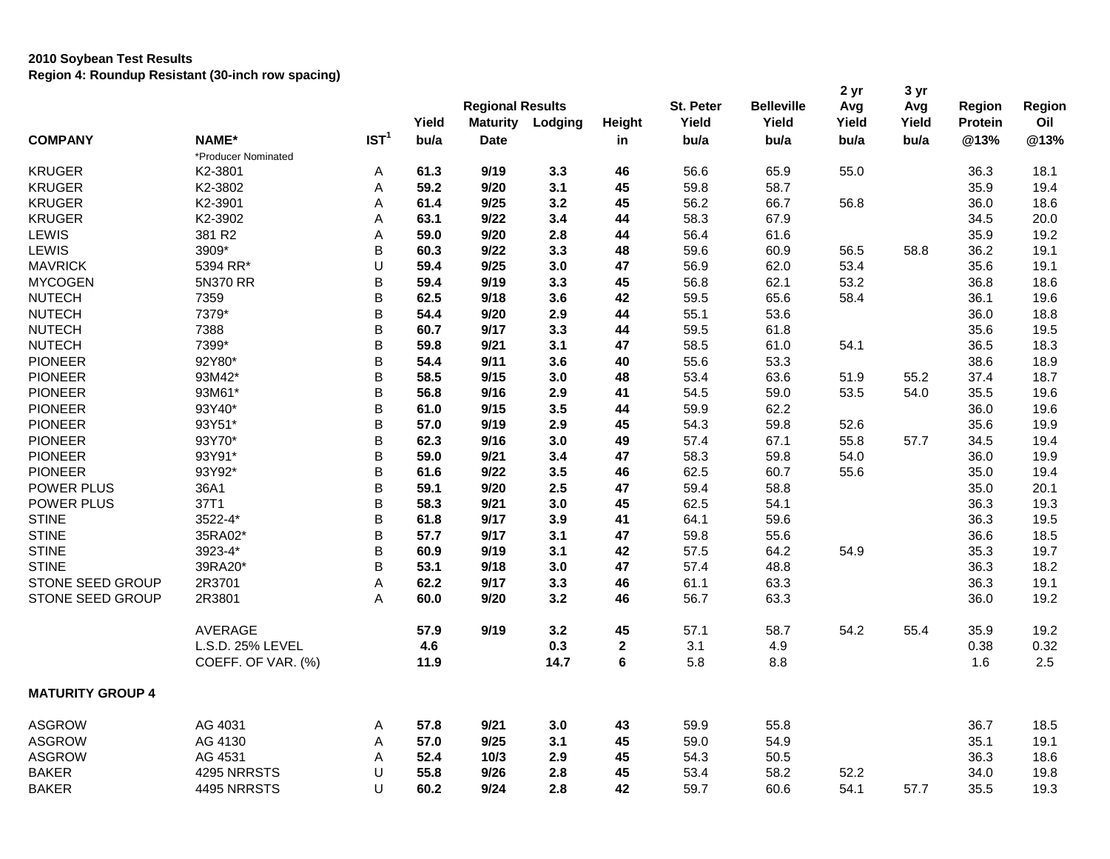|                         |                     |                  | Yield | <b>Regional Results</b><br><b>Maturity</b> | Lodging | Height      | St. Peter<br>Yield | <b>Belleville</b><br>Yield | 2 yr<br>Avg<br>Yield | 3 yr<br>Avg<br>Yield | Region<br><b>Protein</b> | Region<br>Oil |
|-------------------------|---------------------|------------------|-------|--------------------------------------------|---------|-------------|--------------------|----------------------------|----------------------|----------------------|--------------------------|---------------|
| <b>COMPANY</b>          | <b>NAME*</b>        | IST <sup>1</sup> | bu/a  | Date                                       |         | in          | bu/a               | bu/a                       | bu/a                 | bu/a                 | @13%                     | @13%          |
|                         | *Producer Nominated |                  |       |                                            |         |             |                    |                            |                      |                      |                          |               |
| <b>KRUGER</b>           | K2-3801             | Α                | 61.3  | 9/19                                       | 3.3     | 46          | 56.6               | 65.9                       | 55.0                 |                      | 36.3                     | 18.1          |
| <b>KRUGER</b>           | K2-3802             | Α                | 59.2  | 9/20                                       | 3.1     | 45          | 59.8               | 58.7                       |                      |                      | 35.9                     | 19.4          |
| <b>KRUGER</b>           | K2-3901             | Α                | 61.4  | 9/25                                       | 3.2     | 45          | 56.2               | 66.7                       | 56.8                 |                      | 36.0                     | 18.6          |
| <b>KRUGER</b>           | K2-3902             | Α                | 63.1  | 9/22                                       | 3.4     | 44          | 58.3               | 67.9                       |                      |                      | 34.5                     | 20.0          |
| <b>LEWIS</b>            | 381 R2              | А                | 59.0  | 9/20                                       | 2.8     | 44          | 56.4               | 61.6                       |                      |                      | 35.9                     | 19.2          |
| LEWIS                   | 3909*               | B                | 60.3  | 9/22                                       | 3.3     | 48          | 59.6               | 60.9                       | 56.5                 | 58.8                 | 36.2                     | 19.1          |
| <b>MAVRICK</b>          | 5394 RR*            | U                | 59.4  | 9/25                                       | 3.0     | 47          | 56.9               | 62.0                       | 53.4                 |                      | 35.6                     | 19.1          |
| <b>MYCOGEN</b>          | 5N370 RR            | В                | 59.4  | 9/19                                       | 3.3     | 45          | 56.8               | 62.1                       | 53.2                 |                      | 36.8                     | 18.6          |
| <b>NUTECH</b>           | 7359                | B                | 62.5  | 9/18                                       | 3.6     | 42          | 59.5               | 65.6                       | 58.4                 |                      | 36.1                     | 19.6          |
| <b>NUTECH</b>           | 7379*               | B                | 54.4  | 9/20                                       | 2.9     | 44          | 55.1               | 53.6                       |                      |                      | 36.0                     | 18.8          |
| <b>NUTECH</b>           | 7388                | B                | 60.7  | 9/17                                       | 3.3     | 44          | 59.5               | 61.8                       |                      |                      | 35.6                     | 19.5          |
| <b>NUTECH</b>           | 7399*               | B                | 59.8  | 9/21                                       | 3.1     | 47          | 58.5               | 61.0                       | 54.1                 |                      | 36.5                     | 18.3          |
| <b>PIONEER</b>          | 92Y80*              | B                | 54.4  | 9/11                                       | 3.6     | 40          | 55.6               | 53.3                       |                      |                      | 38.6                     | 18.9          |
| <b>PIONEER</b>          | 93M42*              | B                | 58.5  | 9/15                                       | 3.0     | 48          | 53.4               | 63.6                       | 51.9                 | 55.2                 | 37.4                     | 18.7          |
| <b>PIONEER</b>          | 93M61*              | B                | 56.8  | 9/16                                       | 2.9     | 41          | 54.5               | 59.0                       | 53.5                 | 54.0                 | 35.5                     | 19.6          |
| <b>PIONEER</b>          | 93Y40*              | B                | 61.0  | 9/15                                       | 3.5     | 44          | 59.9               | 62.2                       |                      |                      | 36.0                     | 19.6          |
| <b>PIONEER</b>          | 93Y51*              | B                | 57.0  | 9/19                                       | 2.9     | 45          | 54.3               | 59.8                       | 52.6                 |                      | 35.6                     | 19.9          |
| <b>PIONEER</b>          | 93Y70*              | B                | 62.3  | 9/16                                       | 3.0     | 49          | 57.4               | 67.1                       | 55.8                 | 57.7                 | 34.5                     | 19.4          |
| <b>PIONEER</b>          | 93Y91*              | B                | 59.0  | 9/21                                       | 3.4     | 47          | 58.3               | 59.8                       | 54.0                 |                      | 36.0                     | 19.9          |
| <b>PIONEER</b>          | 93Y92*              | В                | 61.6  | 9/22                                       | 3.5     | 46          | 62.5               | 60.7                       | 55.6                 |                      | 35.0                     | 19.4          |
| POWER PLUS              | 36A1                | B                | 59.1  | 9/20                                       | 2.5     | 47          | 59.4               | 58.8                       |                      |                      | 35.0                     | 20.1          |
| POWER PLUS              | 37T1                | B                | 58.3  | 9/21                                       | 3.0     | 45          | 62.5               | 54.1                       |                      |                      | 36.3                     | 19.3          |
| <b>STINE</b>            | 3522-4*             | В                | 61.8  | 9/17                                       | 3.9     | 41          | 64.1               | 59.6                       |                      |                      | 36.3                     | 19.5          |
| <b>STINE</b>            | 35RA02*             | B                | 57.7  | 9/17                                       | 3.1     | 47          | 59.8               | 55.6                       |                      |                      | 36.6                     | 18.5          |
| <b>STINE</b>            | 3923-4*             | B                | 60.9  | 9/19                                       | 3.1     | 42          | 57.5               | 64.2                       | 54.9                 |                      | 35.3                     | 19.7          |
| <b>STINE</b>            | 39RA20*             | B                | 53.1  | 9/18                                       | 3.0     | 47          | 57.4               | 48.8                       |                      |                      | 36.3                     | 18.2          |
| <b>STONE SEED GROUP</b> | 2R3701              | A                | 62.2  | 9/17                                       | 3.3     | 46          | 61.1               | 63.3                       |                      |                      | 36.3                     | 19.1          |
| STONE SEED GROUP        | 2R3801              | A                | 60.0  | 9/20                                       | 3.2     | 46          | 56.7               | 63.3                       |                      |                      | 36.0                     | 19.2          |
|                         | <b>AVERAGE</b>      |                  | 57.9  | 9/19                                       | 3.2     | 45          | 57.1               | 58.7                       | 54.2                 | 55.4                 | 35.9                     | 19.2          |
|                         | L.S.D. 25% LEVEL    |                  | 4.6   |                                            | 0.3     | $\mathbf 2$ | 3.1                | 4.9                        |                      |                      | 0.38                     | 0.32          |
|                         | COEFF. OF VAR. (%)  |                  | 11.9  |                                            | 14.7    | 6           | 5.8                | 8.8                        |                      |                      | 1.6                      | 2.5           |
| <b>MATURITY GROUP 4</b> |                     |                  |       |                                            |         |             |                    |                            |                      |                      |                          |               |
| <b>ASGROW</b>           | AG 4031             | Α                | 57.8  | 9/21                                       | 3.0     | 43          | 59.9               | 55.8                       |                      |                      | 36.7                     | 18.5          |
| <b>ASGROW</b>           | AG 4130             | Α                | 57.0  | 9/25                                       | 3.1     | 45          | 59.0               | 54.9                       |                      |                      | 35.1                     | 19.1          |
| <b>ASGROW</b>           | AG 4531             | A                | 52.4  | 10/3                                       | 2.9     | 45          | 54.3               | 50.5                       |                      |                      | 36.3                     | 18.6          |
| <b>BAKER</b>            | 4295 NRRSTS         | U                | 55.8  | 9/26                                       | 2.8     | 45          | 53.4               | 58.2                       | 52.2                 |                      | 34.0                     | 19.8          |
| <b>BAKER</b>            | 4495 NRRSTS         | U                | 60.2  | 9/24                                       | 2.8     | 42          | 59.7               | 60.6                       | 54.1                 | 57.7                 | 35.5                     | 19.3          |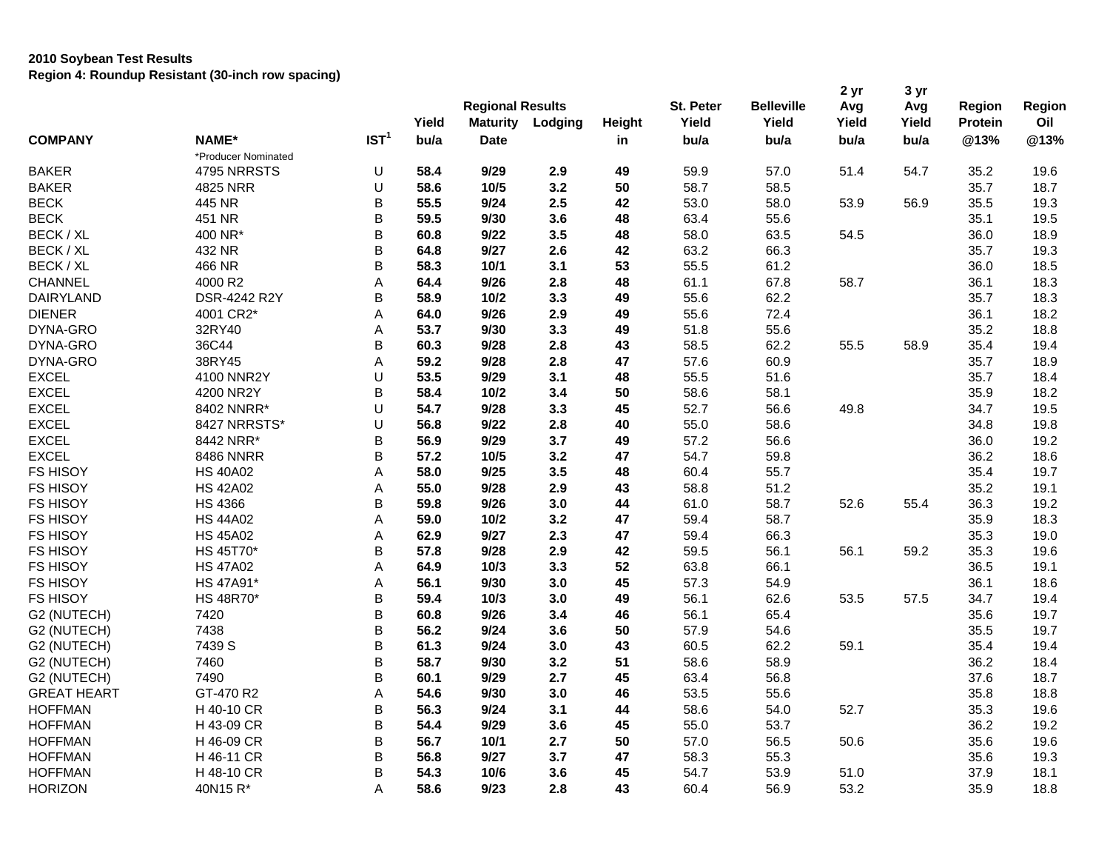|                    |                     |                  | Yield | <b>Regional Results</b><br><b>Maturity</b> | Lodging | Height | St. Peter<br>Yield | <b>Belleville</b><br>Yield | 2 yr<br>Avg<br>Yield | 3 yr<br>Avg<br>Yield | Region<br><b>Protein</b> | Region<br>Oil |
|--------------------|---------------------|------------------|-------|--------------------------------------------|---------|--------|--------------------|----------------------------|----------------------|----------------------|--------------------------|---------------|
| <b>COMPANY</b>     | NAME*               | IST <sup>1</sup> | bu/a  | <b>Date</b>                                |         | in     | bu/a               | bu/a                       | bu/a                 | bu/a                 | @13%                     | @13%          |
|                    | *Producer Nominated |                  |       |                                            |         |        |                    |                            |                      |                      |                          |               |
| <b>BAKER</b>       | 4795 NRRSTS         | U                | 58.4  | 9/29                                       | 2.9     | 49     | 59.9               | 57.0                       | 51.4                 | 54.7                 | 35.2                     | 19.6          |
| <b>BAKER</b>       | 4825 NRR            | U                | 58.6  | 10/5                                       | 3.2     | 50     | 58.7               | 58.5                       |                      |                      | 35.7                     | 18.7          |
| <b>BECK</b>        | 445 NR              | B                | 55.5  | 9/24                                       | 2.5     | 42     | 53.0               | 58.0                       | 53.9                 | 56.9                 | 35.5                     | 19.3          |
| <b>BECK</b>        | 451 NR              | B                | 59.5  | 9/30                                       | 3.6     | 48     | 63.4               | 55.6                       |                      |                      | 35.1                     | 19.5          |
| BECK / XL          | 400 NR*             | B                | 60.8  | 9/22                                       | 3.5     | 48     | 58.0               | 63.5                       | 54.5                 |                      | 36.0                     | 18.9          |
| BECK / XL          | 432 NR              | B                | 64.8  | 9/27                                       | 2.6     | 42     | 63.2               | 66.3                       |                      |                      | 35.7                     | 19.3          |
| BECK / XL          | 466 NR              | B                | 58.3  | $10/1$                                     | 3.1     | 53     | 55.5               | 61.2                       |                      |                      | 36.0                     | 18.5          |
| CHANNEL            | 4000 R2             | Α                | 64.4  | 9/26                                       | 2.8     | 48     | 61.1               | 67.8                       | 58.7                 |                      | 36.1                     | 18.3          |
| <b>DAIRYLAND</b>   | DSR-4242 R2Y        | B                | 58.9  | $10/2$                                     | 3.3     | 49     | 55.6               | 62.2                       |                      |                      | 35.7                     | 18.3          |
| <b>DIENER</b>      | 4001 CR2*           | Α                | 64.0  | 9/26                                       | 2.9     | 49     | 55.6               | 72.4                       |                      |                      | 36.1                     | 18.2          |
| DYNA-GRO           | 32RY40              | Α                | 53.7  | 9/30                                       | 3.3     | 49     | 51.8               | 55.6                       |                      |                      | 35.2                     | 18.8          |
| DYNA-GRO           | 36C44               | B                | 60.3  | 9/28                                       | 2.8     | 43     | 58.5               | 62.2                       | 55.5                 | 58.9                 | 35.4                     | 19.4          |
| DYNA-GRO           | 38RY45              | Α                | 59.2  | 9/28                                       | 2.8     | 47     | 57.6               | 60.9                       |                      |                      | 35.7                     | 18.9          |
| <b>EXCEL</b>       | 4100 NNR2Y          | U                | 53.5  | 9/29                                       | 3.1     | 48     | 55.5               | 51.6                       |                      |                      | 35.7                     | 18.4          |
| <b>EXCEL</b>       | 4200 NR2Y           | B                | 58.4  | 10/2                                       | 3.4     | 50     | 58.6               | 58.1                       |                      |                      | 35.9                     | 18.2          |
| <b>EXCEL</b>       | 8402 NNRR*          | U                | 54.7  | 9/28                                       | 3.3     | 45     | 52.7               | 56.6                       | 49.8                 |                      | 34.7                     | 19.5          |
| <b>EXCEL</b>       | 8427 NRRSTS*        | U                | 56.8  | 9/22                                       | 2.8     | 40     | 55.0               | 58.6                       |                      |                      | 34.8                     | 19.8          |
| <b>EXCEL</b>       | 8442 NRR*           | B                | 56.9  | 9/29                                       | 3.7     | 49     | 57.2               | 56.6                       |                      |                      | 36.0                     | 19.2          |
| <b>EXCEL</b>       | <b>8486 NNRR</b>    | B                | 57.2  | 10/5                                       | 3.2     | 47     | 54.7               | 59.8                       |                      |                      | 36.2                     | 18.6          |
| <b>FS HISOY</b>    | <b>HS 40A02</b>     | Α                | 58.0  | 9/25                                       | 3.5     | 48     | 60.4               | 55.7                       |                      |                      | 35.4                     | 19.7          |
| <b>FS HISOY</b>    | <b>HS 42A02</b>     | А                | 55.0  | 9/28                                       | 2.9     | 43     | 58.8               | 51.2                       |                      |                      | 35.2                     | 19.1          |
| <b>FS HISOY</b>    | <b>HS 4366</b>      | B                | 59.8  | 9/26                                       | 3.0     | 44     | 61.0               | 58.7                       | 52.6                 | 55.4                 | 36.3                     | 19.2          |
| <b>FS HISOY</b>    | <b>HS 44A02</b>     | Α                | 59.0  | 10/2                                       | 3.2     | 47     | 59.4               | 58.7                       |                      |                      | 35.9                     | 18.3          |
| <b>FS HISOY</b>    | <b>HS 45A02</b>     | A                | 62.9  | 9/27                                       | 2.3     | 47     | 59.4               | 66.3                       |                      |                      | 35.3                     | 19.0          |
| <b>FS HISOY</b>    | HS 45T70*           | B                | 57.8  | 9/28                                       | 2.9     | 42     | 59.5               | 56.1                       | 56.1                 | 59.2                 | 35.3                     | 19.6          |
| <b>FS HISOY</b>    | <b>HS 47A02</b>     | А                | 64.9  | 10/3                                       | 3.3     | 52     | 63.8               | 66.1                       |                      |                      | 36.5                     | 19.1          |
| <b>FS HISOY</b>    | HS 47A91*           | Α                | 56.1  | 9/30                                       | 3.0     | 45     | 57.3               | 54.9                       |                      |                      | 36.1                     | 18.6          |
| <b>FS HISOY</b>    | <b>HS 48R70*</b>    | B                | 59.4  | 10/3                                       | 3.0     | 49     | 56.1               | 62.6                       | 53.5                 | 57.5                 | 34.7                     | 19.4          |
| G2 (NUTECH)        | 7420                | B                | 60.8  | 9/26                                       | 3.4     | 46     | 56.1               | 65.4                       |                      |                      | 35.6                     | 19.7          |
| G2 (NUTECH)        | 7438                | B                | 56.2  | 9/24                                       | 3.6     | 50     | 57.9               | 54.6                       |                      |                      | 35.5                     | 19.7          |
| G2 (NUTECH)        | 7439 S              | B                | 61.3  | 9/24                                       | 3.0     | 43     | 60.5               | 62.2                       | 59.1                 |                      | 35.4                     | 19.4          |
| G2 (NUTECH)        | 7460                | B                | 58.7  | 9/30                                       | 3.2     | 51     | 58.6               | 58.9                       |                      |                      | 36.2                     | 18.4          |
| G2 (NUTECH)        | 7490                | B                | 60.1  | 9/29                                       | 2.7     | 45     | 63.4               | 56.8                       |                      |                      | 37.6                     | 18.7          |
| <b>GREAT HEART</b> | GT-470 R2           | Α                | 54.6  | 9/30                                       | 3.0     | 46     | 53.5               | 55.6                       |                      |                      | 35.8                     | 18.8          |
| <b>HOFFMAN</b>     | H 40-10 CR          | B                | 56.3  | 9/24                                       | 3.1     | 44     | 58.6               | 54.0                       | 52.7                 |                      | 35.3                     | 19.6          |
| <b>HOFFMAN</b>     | H 43-09 CR          | B                | 54.4  | 9/29                                       | 3.6     | 45     | 55.0               | 53.7                       |                      |                      | 36.2                     | 19.2          |
| <b>HOFFMAN</b>     | H 46-09 CR          | B                | 56.7  | 10/1                                       | 2.7     | 50     | 57.0               | 56.5                       | 50.6                 |                      | 35.6                     | 19.6          |
| <b>HOFFMAN</b>     | H 46-11 CR          | B                | 56.8  | 9/27                                       | 3.7     | 47     | 58.3               | 55.3                       |                      |                      | 35.6                     | 19.3          |
| <b>HOFFMAN</b>     | H 48-10 CR          | B                | 54.3  | 10/6                                       | 3.6     | 45     | 54.7               | 53.9                       | 51.0                 |                      | 37.9                     | 18.1          |
| <b>HORIZON</b>     | 40N15 R*            | A                | 58.6  | 9/23                                       | 2.8     | 43     | 60.4               | 56.9                       | 53.2                 |                      | 35.9                     | 18.8          |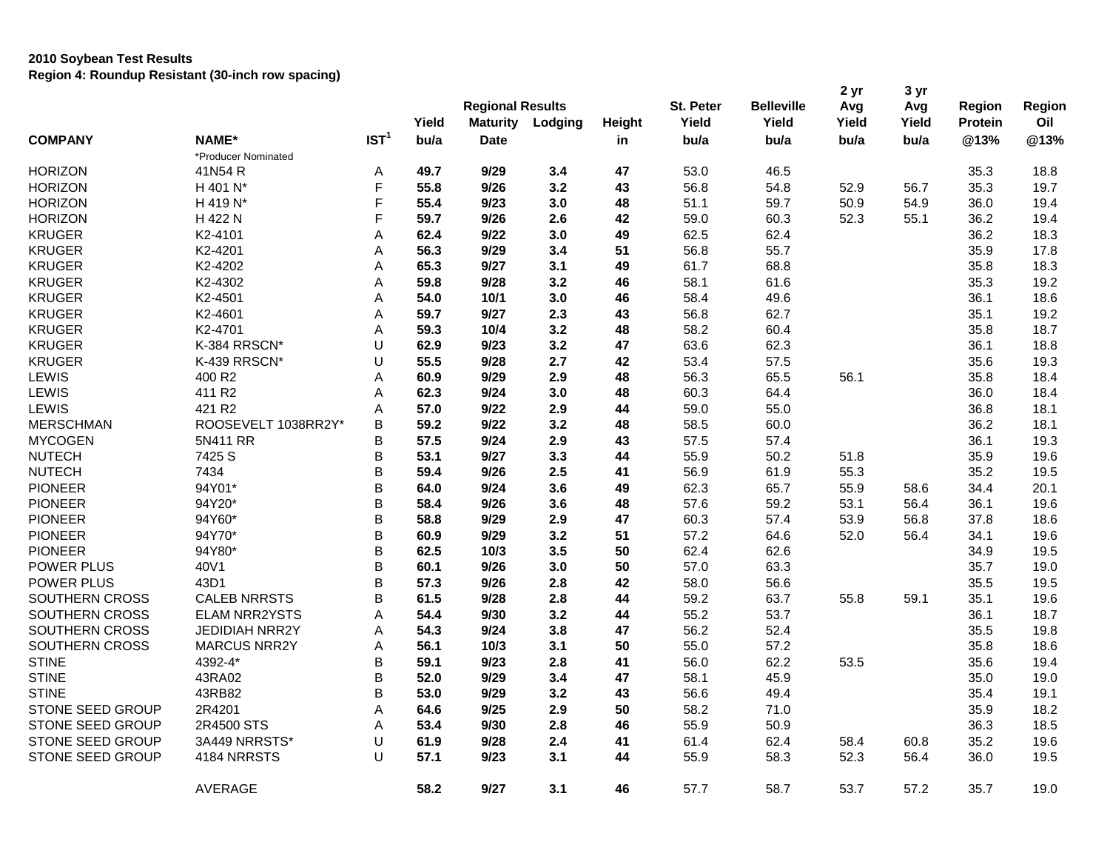|                   |                       |                  | Yield | <b>Regional Results</b><br><b>Maturity</b> | Lodging | Height | St. Peter<br>Yield | <b>Belleville</b><br>Yield | 2 yr<br>Avg<br>Yield | 3 yr<br>Avg<br>Yield | Region<br><b>Protein</b> | Region<br>Oil |
|-------------------|-----------------------|------------------|-------|--------------------------------------------|---------|--------|--------------------|----------------------------|----------------------|----------------------|--------------------------|---------------|
| <b>COMPANY</b>    | NAME*                 | IST <sup>1</sup> | bu/a  | <b>Date</b>                                |         | in     | bu/a               | bu/a                       | bu/a                 | bu/a                 | @13%                     | @13%          |
|                   | *Producer Nominated   |                  |       |                                            |         |        |                    |                            |                      |                      |                          |               |
| <b>HORIZON</b>    | 41N54 R               | Α                | 49.7  | 9/29                                       | 3.4     | 47     | 53.0               | 46.5                       |                      |                      | 35.3                     | 18.8          |
| <b>HORIZON</b>    | H 401 N*              | F                | 55.8  | 9/26                                       | 3.2     | 43     | 56.8               | 54.8                       | 52.9                 | 56.7                 | 35.3                     | 19.7          |
| <b>HORIZON</b>    | H 419 N*              | F                | 55.4  | 9/23                                       | 3.0     | 48     | 51.1               | 59.7                       | 50.9                 | 54.9                 | 36.0                     | 19.4          |
| <b>HORIZON</b>    | H 422 N               | F                | 59.7  | 9/26                                       | 2.6     | 42     | 59.0               | 60.3                       | 52.3                 | 55.1                 | 36.2                     | 19.4          |
| <b>KRUGER</b>     | K2-4101               | A                | 62.4  | 9/22                                       | 3.0     | 49     | 62.5               | 62.4                       |                      |                      | 36.2                     | 18.3          |
| <b>KRUGER</b>     | K2-4201               | Α                | 56.3  | 9/29                                       | 3.4     | 51     | 56.8               | 55.7                       |                      |                      | 35.9                     | 17.8          |
| <b>KRUGER</b>     | K2-4202               | A                | 65.3  | 9/27                                       | 3.1     | 49     | 61.7               | 68.8                       |                      |                      | 35.8                     | 18.3          |
| <b>KRUGER</b>     | K2-4302               | Α                | 59.8  | 9/28                                       | 3.2     | 46     | 58.1               | 61.6                       |                      |                      | 35.3                     | 19.2          |
| <b>KRUGER</b>     | K2-4501               | А                | 54.0  | 10/1                                       | 3.0     | 46     | 58.4               | 49.6                       |                      |                      | 36.1                     | 18.6          |
| <b>KRUGER</b>     | K2-4601               | A                | 59.7  | 9/27                                       | 2.3     | 43     | 56.8               | 62.7                       |                      |                      | 35.1                     | 19.2          |
| <b>KRUGER</b>     | K2-4701               | Α                | 59.3  | 10/4                                       | 3.2     | 48     | 58.2               | 60.4                       |                      |                      | 35.8                     | 18.7          |
| <b>KRUGER</b>     | K-384 RRSCN*          | U                | 62.9  | 9/23                                       | 3.2     | 47     | 63.6               | 62.3                       |                      |                      | 36.1                     | 18.8          |
| <b>KRUGER</b>     | K-439 RRSCN*          | U                | 55.5  | 9/28                                       | 2.7     | 42     | 53.4               | 57.5                       |                      |                      | 35.6                     | 19.3          |
| <b>LEWIS</b>      | 400 R2                | Α                | 60.9  | 9/29                                       | 2.9     | 48     | 56.3               | 65.5                       | 56.1                 |                      | 35.8                     | 18.4          |
| LEWIS             | 411 R2                | A                | 62.3  | 9/24                                       | 3.0     | 48     | 60.3               | 64.4                       |                      |                      | 36.0                     | 18.4          |
| LEWIS             | 421 R <sub>2</sub>    | A                | 57.0  | 9/22                                       | 2.9     | 44     | 59.0               | 55.0                       |                      |                      | 36.8                     | 18.1          |
| <b>MERSCHMAN</b>  | ROOSEVELT 1038RR2Y*   | B                | 59.2  | 9/22                                       | 3.2     | 48     | 58.5               | 60.0                       |                      |                      | 36.2                     | 18.1          |
| <b>MYCOGEN</b>    | 5N411 RR              | B                | 57.5  | 9/24                                       | 2.9     | 43     | 57.5               | 57.4                       |                      |                      | 36.1                     | 19.3          |
| <b>NUTECH</b>     | 7425 S                | B                | 53.1  | 9/27                                       | 3.3     | 44     | 55.9               | 50.2                       | 51.8                 |                      | 35.9                     | 19.6          |
| <b>NUTECH</b>     | 7434                  | B                | 59.4  | 9/26                                       | 2.5     | 41     | 56.9               | 61.9                       | 55.3                 |                      | 35.2                     | 19.5          |
| <b>PIONEER</b>    | 94Y01*                | B                | 64.0  | 9/24                                       | 3.6     | 49     | 62.3               | 65.7                       | 55.9                 | 58.6                 | 34.4                     | 20.1          |
| <b>PIONEER</b>    | 94Y20*                | B                | 58.4  | 9/26                                       | 3.6     | 48     | 57.6               | 59.2                       | 53.1                 | 56.4                 | 36.1                     | 19.6          |
| <b>PIONEER</b>    | 94Y60*                | B                | 58.8  | 9/29                                       | 2.9     | 47     | 60.3               | 57.4                       | 53.9                 | 56.8                 | 37.8                     | 18.6          |
| <b>PIONEER</b>    | 94Y70*                | B                | 60.9  | 9/29                                       | 3.2     | 51     | 57.2               | 64.6                       | 52.0                 | 56.4                 | 34.1                     | 19.6          |
| <b>PIONEER</b>    | 94Y80*                | B                | 62.5  | 10/3                                       | 3.5     | 50     | 62.4               | 62.6                       |                      |                      | 34.9                     | 19.5          |
| <b>POWER PLUS</b> | 40V1                  | B                | 60.1  | 9/26                                       | 3.0     | 50     | 57.0               | 63.3                       |                      |                      | 35.7                     | 19.0          |
| POWER PLUS        | 43D1                  | B                | 57.3  | 9/26                                       | 2.8     | 42     | 58.0               | 56.6                       |                      |                      | 35.5                     | 19.5          |
| SOUTHERN CROSS    | <b>CALEB NRRSTS</b>   | B                | 61.5  | 9/28                                       | 2.8     | 44     | 59.2               | 63.7                       | 55.8                 | 59.1                 | 35.1                     | 19.6          |
| SOUTHERN CROSS    | <b>ELAM NRR2YSTS</b>  | A                | 54.4  | 9/30                                       | 3.2     | 44     | 55.2               | 53.7                       |                      |                      | 36.1                     | 18.7          |
| SOUTHERN CROSS    | <b>JEDIDIAH NRR2Y</b> | A                | 54.3  | 9/24                                       | 3.8     | 47     | 56.2               | 52.4                       |                      |                      | 35.5                     | 19.8          |
| SOUTHERN CROSS    | <b>MARCUS NRR2Y</b>   | Α                | 56.1  | 10/3                                       | 3.1     | 50     | 55.0               | 57.2                       |                      |                      | 35.8                     | 18.6          |
| <b>STINE</b>      | 4392-4*               | B                | 59.1  | 9/23                                       | 2.8     | 41     | 56.0               | 62.2                       | 53.5                 |                      | 35.6                     | 19.4          |
| <b>STINE</b>      | 43RA02                | B                | 52.0  | 9/29                                       | 3.4     | 47     | 58.1               | 45.9                       |                      |                      | 35.0                     | 19.0          |
| <b>STINE</b>      | 43RB82                | B                | 53.0  | 9/29                                       | 3.2     | 43     | 56.6               | 49.4                       |                      |                      | 35.4                     | 19.1          |
| STONE SEED GROUP  | 2R4201                | Α                | 64.6  | 9/25                                       | 2.9     | 50     | 58.2               | 71.0                       |                      |                      | 35.9                     | 18.2          |
| STONE SEED GROUP  | 2R4500 STS            | A                | 53.4  | 9/30                                       | 2.8     | 46     | 55.9               | 50.9                       |                      |                      | 36.3                     | 18.5          |
| STONE SEED GROUP  | 3A449 NRRSTS*         | U                | 61.9  | 9/28                                       | 2.4     | 41     | 61.4               | 62.4                       | 58.4                 | 60.8                 | 35.2                     | 19.6          |
| STONE SEED GROUP  | 4184 NRRSTS           | $\cup$           | 57.1  | 9/23                                       | 3.1     | 44     | 55.9               | 58.3                       | 52.3                 | 56.4                 | 36.0                     | 19.5          |
|                   | AVERAGE               |                  | 58.2  | 9/27                                       | 3.1     | 46     | 57.7               | 58.7                       | 53.7                 | 57.2                 | 35.7                     | 19.0          |